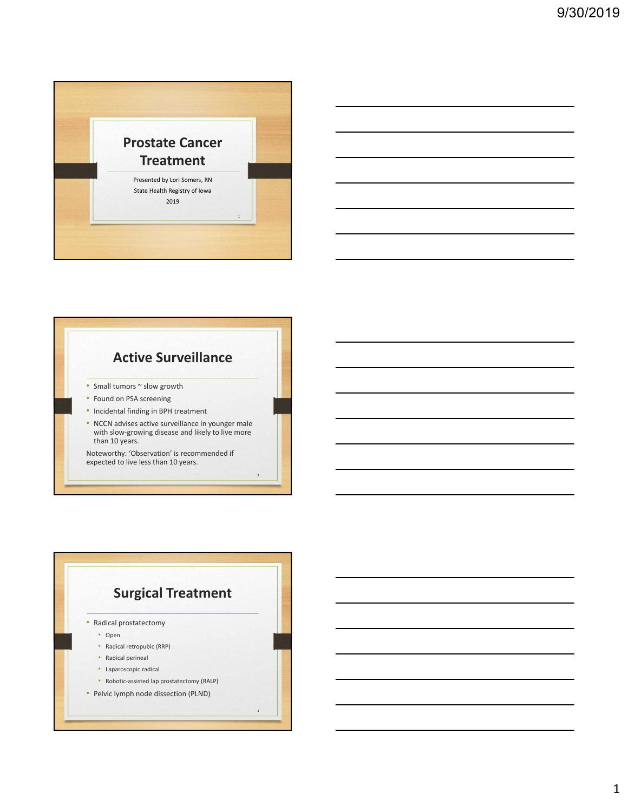



• NCCN advises active surveillance in younger male with slow‐growing disease and likely to live more than 10 years.

Noteworthy: 'Observation' is recommended if expected to live less than 10 years.

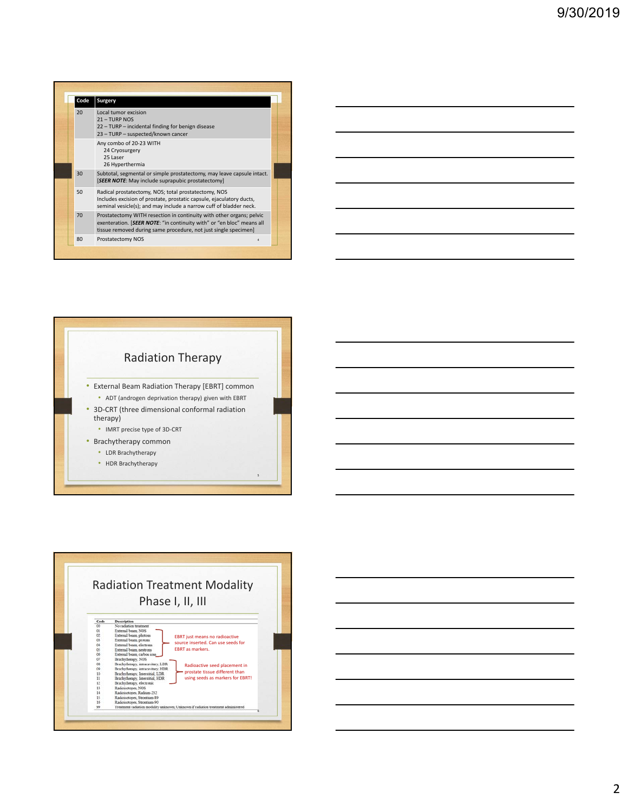| Code | Surgery                                                                                                                                                                                                          |  |
|------|------------------------------------------------------------------------------------------------------------------------------------------------------------------------------------------------------------------|--|
| 20   | Local tumor excision<br>$21 - TURP NOS$<br>22 - TURP - incidental finding for benign disease<br>23 - TURP - suspected/known cancer                                                                               |  |
|      | Any combo of 20-23 WITH<br>24 Cryosurgery<br>25 Laser<br>26 Hyperthermia                                                                                                                                         |  |
| 30   | Subtotal, segmental or simple prostatectomy, may leave capsule intact.<br>[SEER NOTE: May include suprapubic prostatectomy]                                                                                      |  |
| 50   | Radical prostatectomy, NOS; total prostatectomy, NOS<br>Includes excision of prostate, prostatic capsule, ejaculatory ducts,<br>seminal vesicle(s); and may include a narrow cuff of bladder neck.               |  |
| 70   | Prostatectomy WITH resection in continuity with other organs; pelvic<br>exenteration. [SEER NOTE: "in continuity with" or "en bloc" means all<br>tissue removed during same procedure, not just single specimen] |  |
| 80   | Prostatectomy NOS<br>4                                                                                                                                                                                           |  |



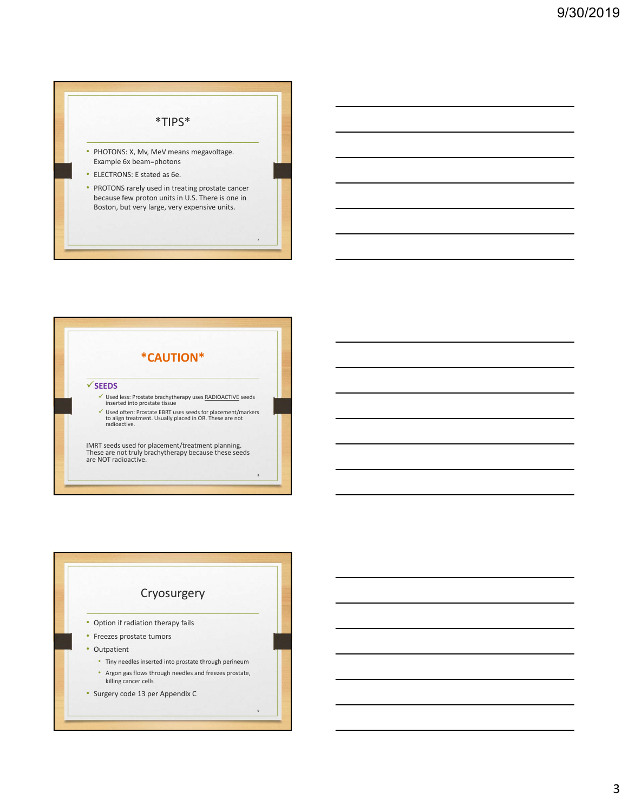



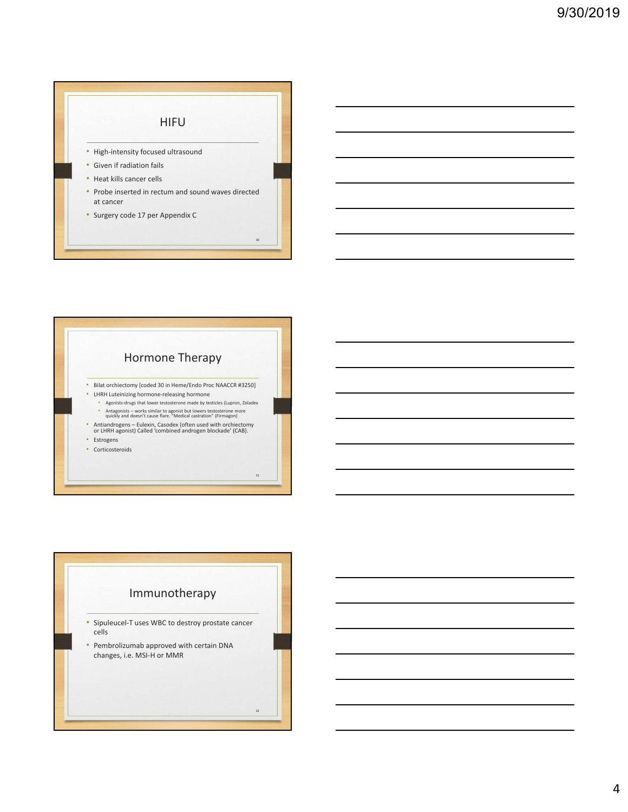



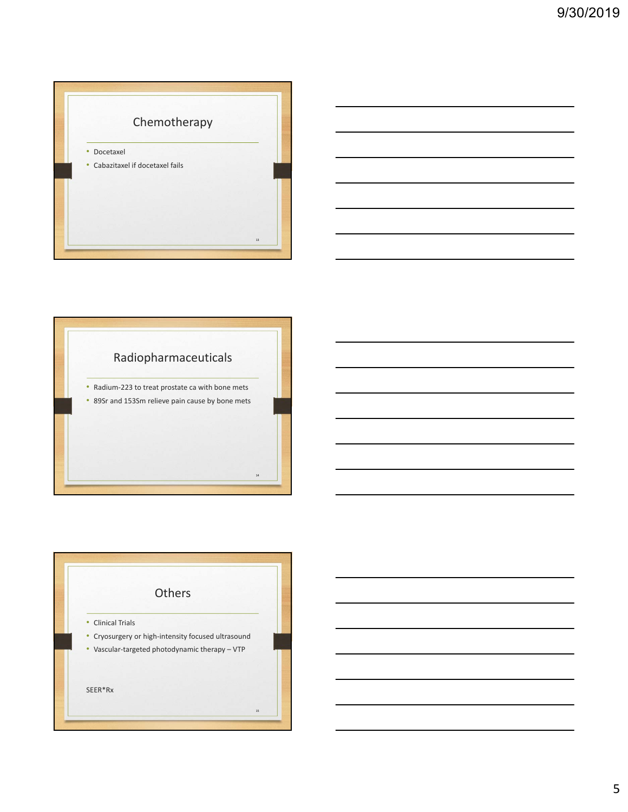

## Radiopharmaceuticals

• Radium‐223 to treat prostate ca with bone mets

14

• 89Sr and 153Sm relieve pain cause by bone mets